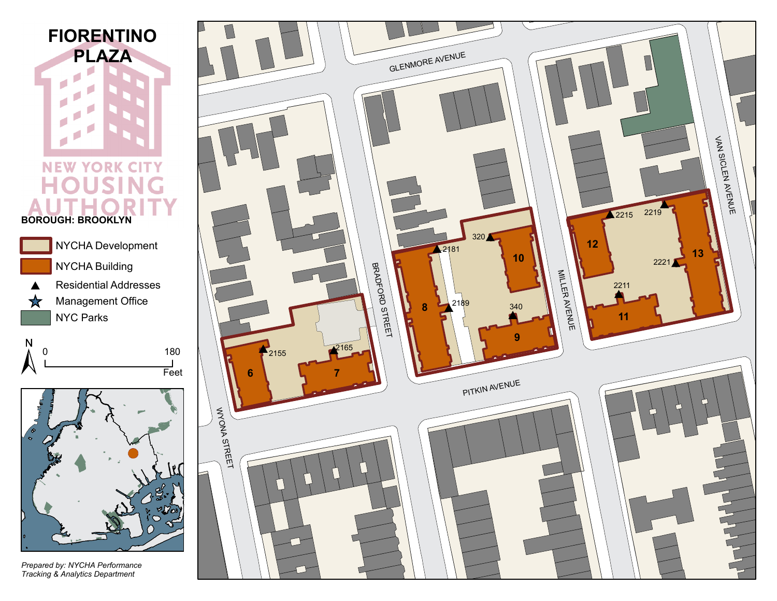

## **NEW YORK CITY** е OU **SING BOROUGH: BROOKLYN**







*Prepared by: NYCHA Performance Tracking & Analytics Department*